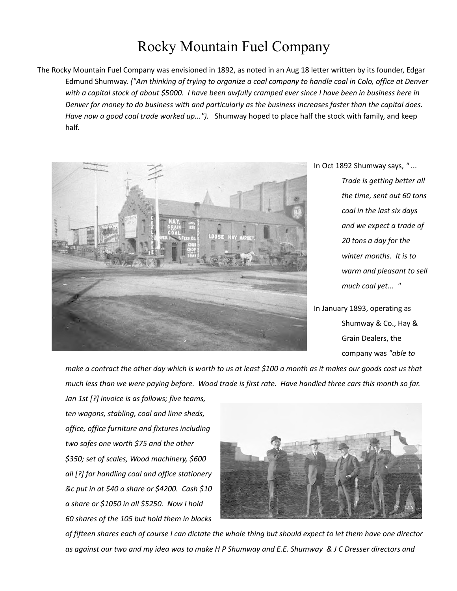## Rocky Mountain Fuel Company

The Rocky Mountain Fuel Company was envisioned in 1892, as noted in an Aug 18 letter written by its founder, Edgar Edmund Shumway*. ("Am thinking of trying to organize a coal company to handle coal in Colo, office at Denver with a capital stock of about \$5000. I have been awfully cramped ever since I have been in business here in Denver for money to do business with and particularly as the business increases faster than the capital does. Have now a good coal trade worked up...").* Shumway hoped to place half the stock with family, and keep half.



In Oct 1892 Shumway says, *" ...* 

*Trade is getting better all the time, sent out 60 tons coal in the last six days and we expect a trade of 20 tons a day for the winter months. It is to warm and pleasant to sell much coal yet... "*

In January 1893, operating as Shumway & Co., Hay & Grain Dealers, the company was *"able to* 

*make a contract the other day which is worth to us at least \$100 a month as it makes our goods cost us that much less than we were paying before. Wood trade is first rate. Have handled three cars this month so far.* 

*Jan 1st [?] invoice is as follows; five teams, ten wagons, stabling, coal and lime sheds, office, office furniture and fixtures including two safes one worth \$75 and the other \$350; set of scales, Wood machinery, \$600 all [?] for handling coal and office stationery &c put in at \$40 a share or \$4200. Cash \$10 a share or \$1050 in all \$5250. Now I hold 60 shares of the 105 but hold them in blocks*



*of fifteen shares each of course I can dictate the whole thing but should expect to let them have one director as against our two and my idea was to make H P Shumway and E.E. Shumway & J C Dresser directors and*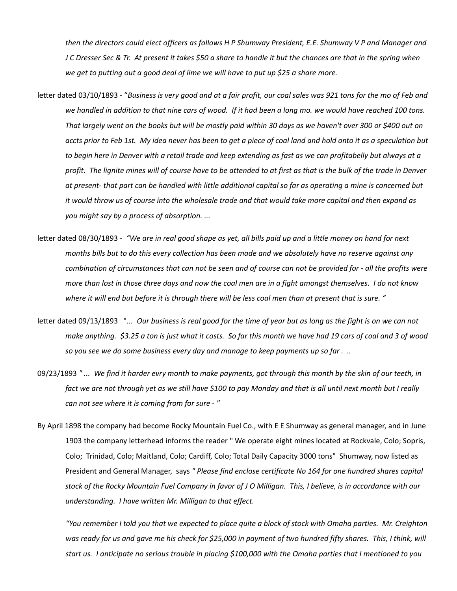*then the directors could elect officers as follows H P Shumway President, E.E. Shumway V P and Manager and J C Dresser Sec & Tr. At present it takes \$50 a share to handle it but the chances are that in the spring when we get to putting out a good deal of lime we will have to put up \$25 a share more.* 

- letter dated 03/10/1893 "*Business is very good and at a fair profit, our coal sales was 921 tons for the mo of Feb and we handled in addition to that nine cars of wood. If it had been a long mo. we would have reached 100 tons. That largely went on the books but will be mostly paid within 30 days as we haven't over 300 or \$400 out on accts prior to Feb 1st. My idea never has been to get a piece of coal land and hold onto it as a speculation but to begin here in Denver with a retail trade and keep extending as fast as we can profitabelly but always at a profit. The lignite mines will of course have to be attended to at first as that is the bulk of the trade in Denver at present- that part can be handled with little additional capital so far as operating a mine is concerned but it would throw us of course into the wholesale trade and that would take more capital and then expand as you might say by a process of absorption. ...*
- letter dated 08/30/1893 *"We are in real good shape as yet, all bills paid up and a little money on hand for next months bills but to do this every collection has been made and we absolutely have no reserve against any combination of circumstances that can not be seen and of course can not be provided for - all the profits were more than lost in those three days and now the coal men are in a fight amongst themselves. I do not know where it will end but before it is through there will be less coal men than at present that is sure. "*
- letter dated 09/13/1893 "*... Our business is real good for the time of year but as long as the fight is on we can not make anything. \$3.25 a ton is just what it costs. So far this month we have had 19 cars of coal and 3 of wood so you see we do some business every day and manage to keep payments up so far . ..*
- 09/23/1893 *" ... We find it harder evry month to make payments, got through this month by the skin of our teeth, in fact we are not through yet as we still have \$100 to pay Monday and that is all until next month but I really can not see where it is coming from for sure - "*
- By April 1898 the company had become Rocky Mountain Fuel Co., with E E Shumway as general manager, and in June 1903 the company letterhead informs the reader " We operate eight mines located at Rockvale, Colo; Sopris, Colo; Trinidad, Colo; Maitland, Colo; Cardiff, Colo; Total Daily Capacity 3000 tons" Shumway, now listed as President and General Manager, says *" Please find enclose certificate No 164 for one hundred shares capital stock of the Rocky Mountain Fuel Company in favor of J O Milligan. This, I believe, is in accordance with our understanding. I have written Mr. Milligan to that effect.*

*"You remember I told you that we expected to place quite a block of stock with Omaha parties. Mr. Creighton* was ready for us and gave me his check for \$25,000 in payment of two hundred fifty shares. This, I think, will *start us. I anticipate no serious trouble in placing \$100,000 with the Omaha parties that I mentioned to you*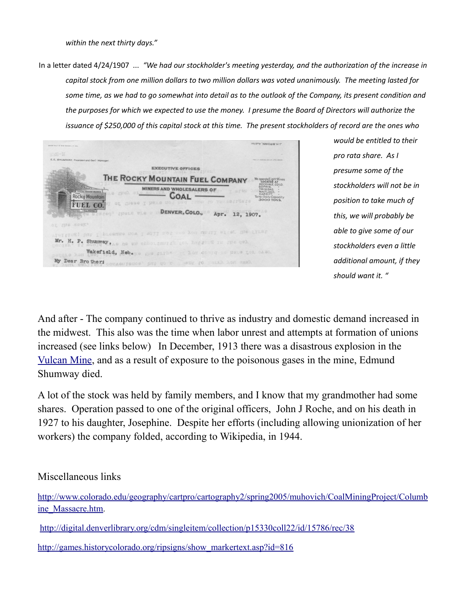*within the next thirty days."*

In a letter dated 4/24/1907 ... *"We had our stockholder's meeting yesterday, and the authorization of the increase in capital stock from one million dollars to two million dollars was voted unanimously. The meeting lasted for some time, as we had to go somewhat into detail as to the outlook of the Company, its present condition and the purposes for which we expected to use the money. I presume the Board of Directors will authorize the issuance of \$250,000 of this capital stock at this time. The present stockholders of record are the ones who* 

J. H. BROWN, Auditor **EXECUTIVE OFFICES** THE ROCKY MOUNTAIN FUEL COMPANY ROCKVALE, COLO<br>SOPRIS, "<br>TRINIDAD, "<br>MAITLAND, "<br>CARDIFF" " MINERS AND WHOLESALERS OF **EXAMPLES AND WHOLESALERS OF COAL** ral Daily Capacity<br>3000 TONS FUEL CO. OF SPERS I PEASE steed these wie . DENVER, COLO., Apr. 12, 1907. iting; but I presume now I will not all you until after the first Mr. H. P. Shumway, he as entertainment for happy & is the qual My Dear Brother; consensance ant go us asset

*would be entitled to their pro rata share. As I presume some of the stockholders will not be in position to take much of this, we will probably be able to give some of our stockholders even a little additional amount, if they should want it. "* 

And after - The company continued to thrive as industry and domestic demand increased in the midwest. This also was the time when labor unrest and attempts at formation of unions increased (see links below) In December, 1913 there was a disastrous explosion in the [Vulcan Mine,](http://ourfamilyhistoryblog.files.wordpress.com/2012/09/vulcan-mine-diaster-shumway.pdf) and as a result of exposure to the poisonous gases in the mine, Edmund Shumway died.

A lot of the stock was held by family members, and I know that my grandmother had some shares. Operation passed to one of the original officers, John J Roche, and on his death in 1927 to his daughter, Josephine. Despite her efforts (including allowing unionization of her workers) the company folded, according to Wikipedia, in 1944.

Miscellaneous links

[http://www.colorado.edu/geography/cartpro/cartography2/spring2005/muhovich/CoalMiningProject/Columb](http://www.colorado.edu/geography/cartpro/cartography2/spring2005/muhovich/CoalMiningProject/Columbine_Massacre.htm) [ine\\_Massacre.htm.](http://www.colorado.edu/geography/cartpro/cartography2/spring2005/muhovich/CoalMiningProject/Columbine_Massacre.htm)

<http://digital.denverlibrary.org/cdm/singleitem/collection/p15330coll22/id/15786/rec/38>

[http://games.historycolorado.org/ripsigns/show\\_markertext.asp?id=816](http://games.historycolorado.org/ripsigns/show_markertext.asp?id=816)